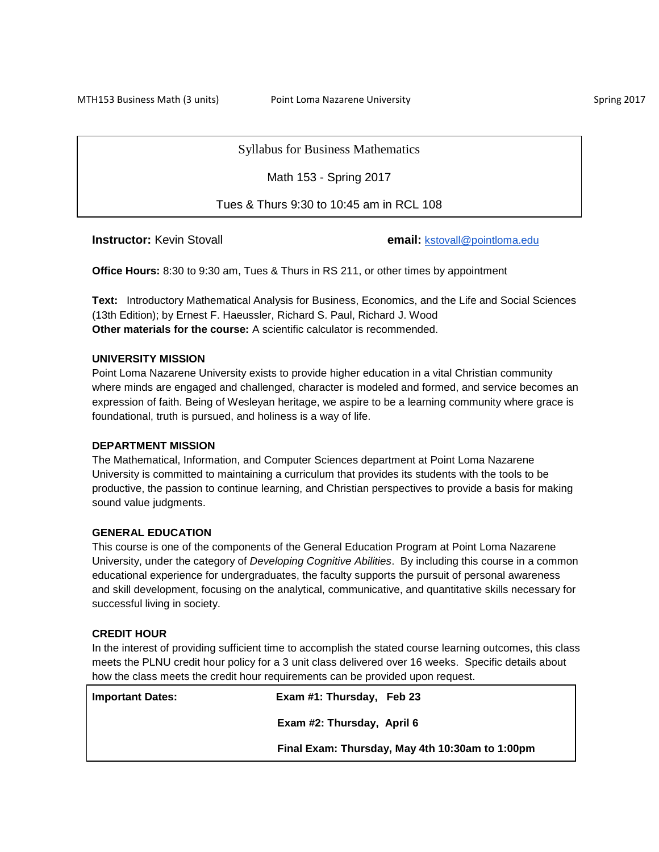MTH153 Business Math (3 units) **Point Loma Nazarene University** Spring 2017

Syllabus for Business Mathematics

Math 153 - Spring 2017

Tues & Thurs 9:30 to 10:45 am in RCL 108

**Instructor:** Kevin Stovall **email:** [kstovall@pointloma.edu](mailto:kstovall@pointloma.edu)

**Office Hours:** 8:30 to 9:30 am, Tues & Thurs in RS 211, or other times by appointment

**Text:** Introductory Mathematical Analysis for Business, Economics, and the Life and Social Sciences (13th Edition); by Ernest F. Haeussler, Richard S. Paul, Richard J. Wood **Other materials for the course:** A scientific calculator is recommended.

### **UNIVERSITY MISSION**

Point Loma Nazarene University exists to provide higher education in a vital Christian community where minds are engaged and challenged, character is modeled and formed, and service becomes an expression of faith. Being of Wesleyan heritage, we aspire to be a learning community where grace is foundational, truth is pursued, and holiness is a way of life.

# **DEPARTMENT MISSION**

The Mathematical, Information, and Computer Sciences department at Point Loma Nazarene University is committed to maintaining a curriculum that provides its students with the tools to be productive, the passion to continue learning, and Christian perspectives to provide a basis for making sound value judgments.

## **GENERAL EDUCATION**

This course is one of the components of the General Education Program at Point Loma Nazarene University, under the category of *Developing Cognitive Abilities*. By including this course in a common educational experience for undergraduates, the faculty supports the pursuit of personal awareness and skill development, focusing on the analytical, communicative, and quantitative skills necessary for successful living in society.

#### **CREDIT HOUR**

In the interest of providing sufficient time to accomplish the stated course learning outcomes, this class meets the PLNU credit hour policy for a 3 unit class delivered over 16 weeks. Specific details about how the class meets the credit hour requirements can be provided upon request.

| <b>Important Dates:</b> | Exam #1: Thursday, Feb 23                       |
|-------------------------|-------------------------------------------------|
|                         | Exam #2: Thursday, April 6                      |
|                         | Final Exam: Thursday, May 4th 10:30am to 1:00pm |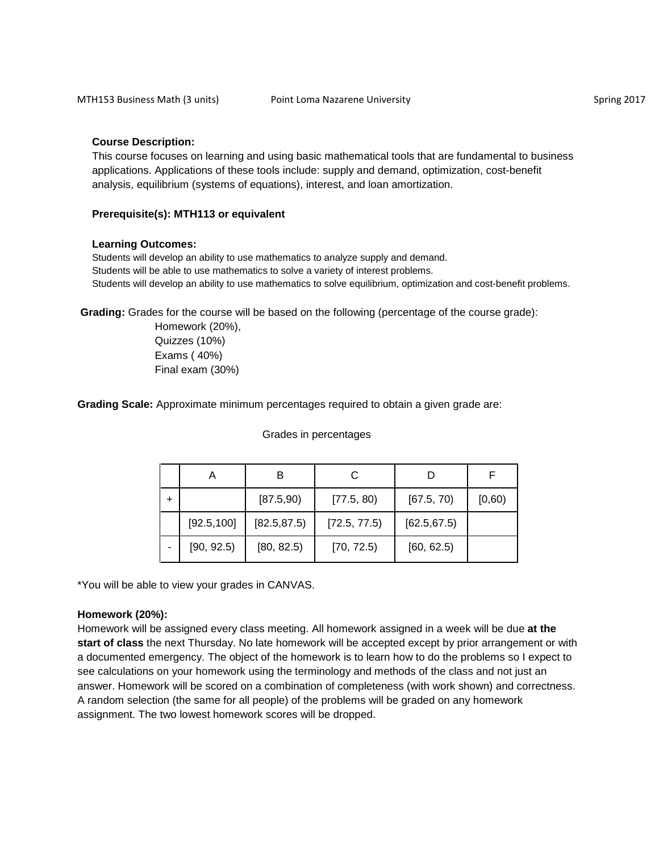### **Course Description:**

This course focuses on learning and using basic mathematical tools that are fundamental to business applications. Applications of these tools include: supply and demand, optimization, cost-benefit analysis, equilibrium (systems of equations), interest, and loan amortization.

#### **Prerequisite(s): MTH113 or equivalent**

#### **Learning Outcomes:**

Students will develop an ability to use mathematics to analyze supply and demand. Students will be able to use mathematics to solve a variety of interest problems. Students will develop an ability to use mathematics to solve equilibrium, optimization and cost-benefit problems.

**Grading:** Grades for the course will be based on the following (percentage of the course grade):

Grades in percentages

Homework (20%), Quizzes (10%) Exams ( 40%) Final exam (30%)

**Grading Scale:** Approximate minimum percentages required to obtain a given grade are:

A B C D F +  $\vert$  [87.5,90)  $\vert$  [77.5, 80)  $\vert$  [67.5, 70)  $\vert$  [0,60)  $[92.5,100]$   $[82.5,87.5)$   $[72.5, 77.5)$   $[62.5,67.5)$  $[90, 92.5)$   $[80, 82.5)$   $[70, 72.5)$   $[60, 62.5)$ 

\*You will be able to view your grades in CANVAS.

#### **Homework (20%):**

Homework will be assigned every class meeting. All homework assigned in a week will be due **at the start of class** the next Thursday. No late homework will be accepted except by prior arrangement or with a documented emergency. The object of the homework is to learn how to do the problems so I expect to see calculations on your homework using the terminology and methods of the class and not just an answer. Homework will be scored on a combination of completeness (with work shown) and correctness. A random selection (the same for all people) of the problems will be graded on any homework assignment. The two lowest homework scores will be dropped.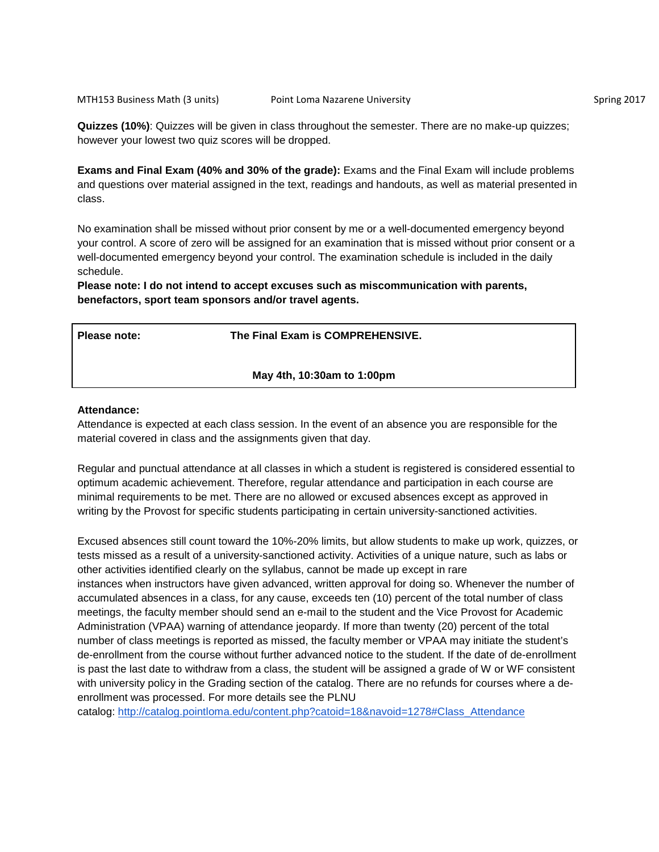**Quizzes (10%)**: Quizzes will be given in class throughout the semester. There are no make-up quizzes; however your lowest two quiz scores will be dropped.

**Exams and Final Exam (40% and 30% of the grade):** Exams and the Final Exam will include problems and questions over material assigned in the text, readings and handouts, as well as material presented in class.

No examination shall be missed without prior consent by me or a well-documented emergency beyond your control. A score of zero will be assigned for an examination that is missed without prior consent or a well-documented emergency beyond your control. The examination schedule is included in the daily schedule.

**Please note: I do not intend to accept excuses such as miscommunication with parents, benefactors, sport team sponsors and/or travel agents.** 

**Please note: The Final Exam is COMPREHENSIVE.** 

**May 4th, 10:30am to 1:00pm** 

#### **Attendance:**

Attendance is expected at each class session. In the event of an absence you are responsible for the material covered in class and the assignments given that day.

Regular and punctual attendance at all classes in which a student is registered is considered essential to optimum academic achievement. Therefore, regular attendance and participation in each course are minimal requirements to be met. There are no allowed or excused absences except as approved in writing by the Provost for specific students participating in certain university-sanctioned activities.

Excused absences still count toward the 10%-20% limits, but allow students to make up work, quizzes, or tests missed as a result of a university-sanctioned activity. Activities of a unique nature, such as labs or other activities identified clearly on the syllabus, cannot be made up except in rare instances when instructors have given advanced, written approval for doing so. Whenever the number of accumulated absences in a class, for any cause, exceeds ten (10) percent of the total number of class meetings, the faculty member should send an e-mail to the student and the Vice Provost for Academic Administration (VPAA) warning of attendance jeopardy. If more than twenty (20) percent of the total number of class meetings is reported as missed, the faculty member or VPAA may initiate the student's de-enrollment from the course without further advanced notice to the student. If the date of de-enrollment is past the last date to withdraw from a class, the student will be assigned a grade of W or WF consistent with university policy in the Grading section of the catalog. There are no refunds for courses where a deenrollment was processed. For more details see the PLNU

catalog: [http://catalog.pointloma.edu/content.php?catoid=18&navoid=1278#Class\\_Attendance](http://catalog.pointloma.edu/content.php?catoid=18&navoid=1278#Class_Attendance)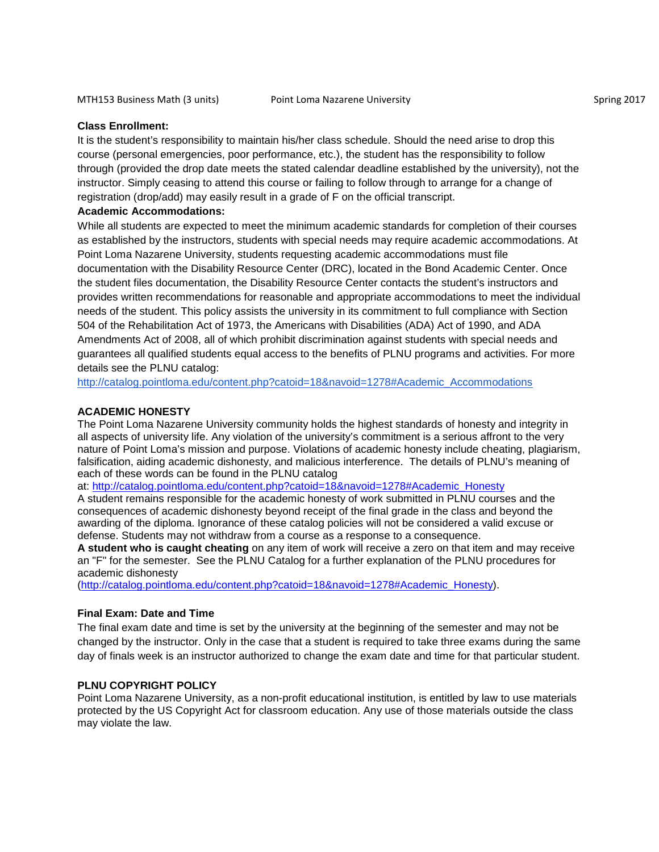# **Class Enrollment:**

It is the student's responsibility to maintain his/her class schedule. Should the need arise to drop this course (personal emergencies, poor performance, etc.), the student has the responsibility to follow through (provided the drop date meets the stated calendar deadline established by the university), not the instructor. Simply ceasing to attend this course or failing to follow through to arrange for a change of registration (drop/add) may easily result in a grade of F on the official transcript.

### **Academic Accommodations:**

While all students are expected to meet the minimum academic standards for completion of their courses as established by the instructors, students with special needs may require academic accommodations. At Point Loma Nazarene University, students requesting academic accommodations must file documentation with the Disability Resource Center (DRC), located in the Bond Academic Center. Once the student files documentation, the Disability Resource Center contacts the student's instructors and provides written recommendations for reasonable and appropriate accommodations to meet the individual needs of the student. This policy assists the university in its commitment to full compliance with Section 504 of the Rehabilitation Act of 1973, the Americans with Disabilities (ADA) Act of 1990, and ADA Amendments Act of 2008, all of which prohibit discrimination against students with special needs and guarantees all qualified students equal access to the benefits of PLNU programs and activities. For more details see the PLNU catalog:

[http://catalog.pointloma.edu/content.php?catoid=18&navoid=1278#Academic\\_Accommodations](http://catalog.pointloma.edu/content.php?catoid=18&navoid=1278#Academic_Accommodations)

## **ACADEMIC HONESTY**

The Point Loma Nazarene University community holds the highest standards of honesty and integrity in all aspects of university life. Any violation of the university's commitment is a serious affront to the very nature of Point Loma's mission and purpose. Violations of academic honesty include cheating, plagiarism, falsification, aiding academic dishonesty, and malicious interference. The details of PLNU's meaning of each of these words can be found in the PLNU catalog

at: [http://catalog.pointloma.edu/content.php?catoid=18&navoid=1278#Academic\\_Honesty](http://catalog.pointloma.edu/content.php?catoid=18&navoid=1278#Academic_Honesty)

A student remains responsible for the academic honesty of work submitted in PLNU courses and the consequences of academic dishonesty beyond receipt of the final grade in the class and beyond the awarding of the diploma. Ignorance of these catalog policies will not be considered a valid excuse or defense. Students may not withdraw from a course as a response to a consequence.

**A student who is caught cheating** on any item of work will receive a zero on that item and may receive an "F" for the semester. See the PLNU Catalog for a further explanation of the PLNU procedures for academic dishonesty

[\(http://catalog.pointloma.edu/content.php?catoid=18&navoid=1278#Academic\\_Honesty\)](http://catalog.pointloma.edu/content.php?catoid=18&navoid=1278#Academic_Honesty).

### **Final Exam: Date and Time**

The final exam date and time is set by the university at the beginning of the semester and may not be changed by the instructor. Only in the case that a student is required to take three exams during the same day of finals week is an instructor authorized to change the exam date and time for that particular student.

### **PLNU COPYRIGHT POLICY**

Point Loma Nazarene University, as a non-profit educational institution, is entitled by law to use materials protected by the US Copyright Act for classroom education. Any use of those materials outside the class may violate the law.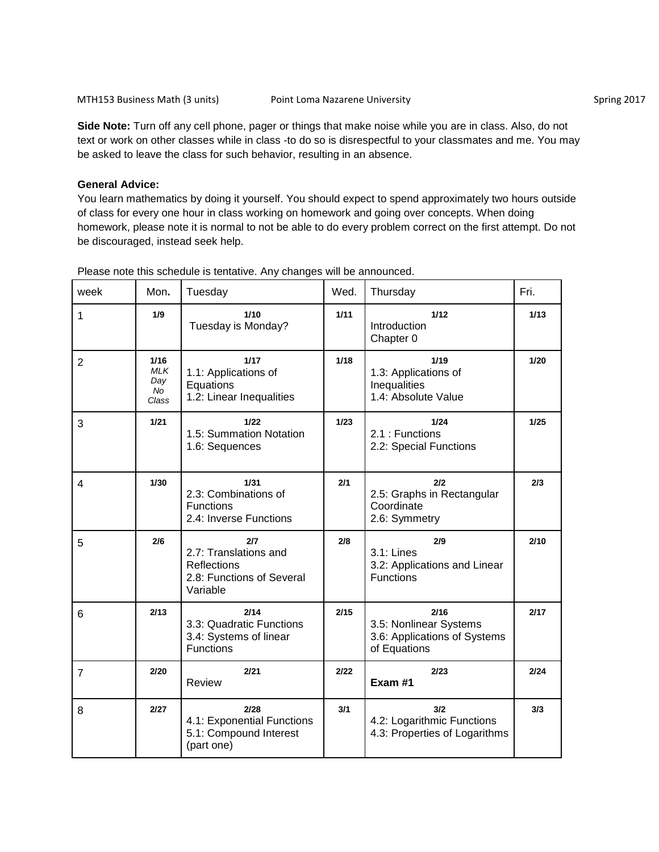**Side Note:** Turn off any cell phone, pager or things that make noise while you are in class. Also, do not text or work on other classes while in class -to do so is disrespectful to your classmates and me. You may be asked to leave the class for such behavior, resulting in an absence.

### **General Advice:**

You learn mathematics by doing it yourself. You should expect to spend approximately two hours outside of class for every one hour in class working on homework and going over concepts. When doing homework, please note it is normal to not be able to do every problem correct on the first attempt. Do not be discouraged, instead seek help.

| week           | Mon.                                            | Tuesday                                                                                     | Wed.   | Thursday                                                                       | Fri.   |
|----------------|-------------------------------------------------|---------------------------------------------------------------------------------------------|--------|--------------------------------------------------------------------------------|--------|
| 1              | 1/9                                             | 1/10<br>Tuesday is Monday?                                                                  | 1/11   | 1/12<br>Introduction<br>Chapter 0                                              | 1/13   |
| $\overline{2}$ | 1/16<br><b>MLK</b><br>Day<br><b>No</b><br>Class | 1/17<br>1.1: Applications of<br>Equations<br>1.2: Linear Inequalities                       | 1/18   | 1/19<br>1.3: Applications of<br>Inequalities<br>1.4: Absolute Value            | 1/20   |
| 3              | $1/21$                                          | $1/22$<br>1.5: Summation Notation<br>1.6: Sequences                                         | $1/23$ | 1/24<br>2.1 : Functions<br>2.2: Special Functions                              | $1/25$ |
| 4              | 1/30                                            | 1/31<br>2.3: Combinations of<br><b>Functions</b><br>2.4: Inverse Functions                  | 2/1    | 2/2<br>2.5: Graphs in Rectangular<br>Coordinate<br>2.6: Symmetry               | 2/3    |
| 5              | 2/6                                             | 2/7<br>2.7: Translations and<br><b>Reflections</b><br>2.8: Functions of Several<br>Variable | 2/8    | 2/9<br>3.1: Lines<br>3.2: Applications and Linear<br><b>Functions</b>          | 2/10   |
| 6              | 2/13                                            | 2/14<br>3.3: Quadratic Functions<br>3.4: Systems of linear<br><b>Functions</b>              | 2/15   | 2/16<br>3.5: Nonlinear Systems<br>3.6: Applications of Systems<br>of Equations | 2/17   |
| $\overline{7}$ | 2/20                                            | 2/21<br><b>Review</b>                                                                       | 2/22   | 2/23<br>Exam #1                                                                | 2/24   |
| 8              | 2/27                                            | 2/28<br>4.1: Exponential Functions<br>5.1: Compound Interest<br>(part one)                  | 3/1    | 3/2<br>4.2: Logarithmic Functions<br>4.3: Properties of Logarithms             | 3/3    |

Please note this schedule is tentative. Any changes will be announced.